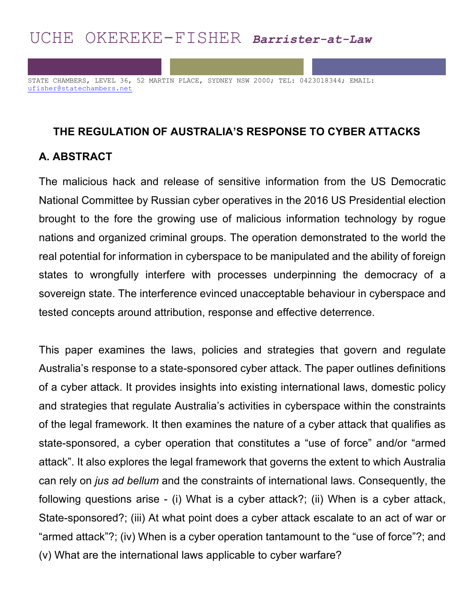# UCHE OKEREKE-FISHER *Barrister-at-Law*

STATE CHAMBERS, LEVEL 36, 52 MARTIN PLACE, SYDNEY NSW 2000; TEL: 0423018344; EMAIL: ufisher@statechambers.net

#### **THE REGULATION OF AUSTRALIA'S RESPONSE TO CYBER ATTACKS**

## **A. ABSTRACT**

The malicious hack and release of sensitive information from the US Democratic National Committee by Russian cyber operatives in the 2016 US Presidential election brought to the fore the growing use of malicious information technology by rogue nations and organized criminal groups. The operation demonstrated to the world the real potential for information in cyberspace to be manipulated and the ability of foreign states to wrongfully interfere with processes underpinning the democracy of a sovereign state. The interference evinced unacceptable behaviour in cyberspace and tested concepts around attribution, response and effective deterrence.

This paper examines the laws, policies and strategies that govern and regulate Australia's response to a state-sponsored cyber attack. The paper outlines definitions of a cyber attack. It provides insights into existing international laws, domestic policy and strategies that regulate Australia's activities in cyberspace within the constraints of the legal framework. It then examines the nature of a cyber attack that qualifies as state-sponsored, a cyber operation that constitutes a "use of force" and/or "armed attack". It also explores the legal framework that governs the extent to which Australia can rely on *jus ad bellum* and the constraints of international laws. Consequently, the following questions arise - (i) What is a cyber attack?; (ii) When is a cyber attack, State-sponsored?; (iii) At what point does a cyber attack escalate to an act of war or "armed attack"?; (iv) When is a cyber operation tantamount to the "use of force"?; and (v) What are the international laws applicable to cyber warfare?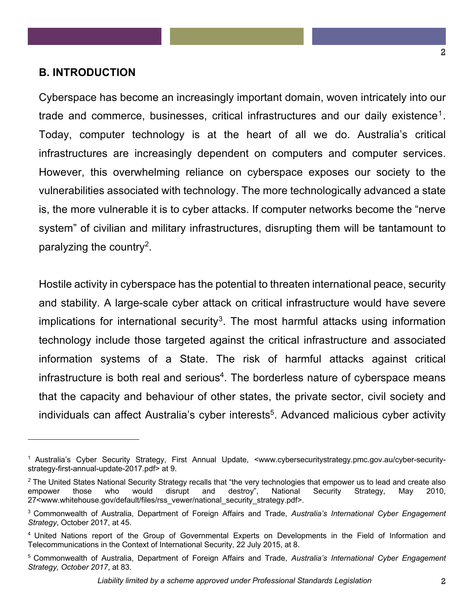#### **B. INTRODUCTION**

 $\overline{a}$ 

Cyberspace has become an increasingly important domain, woven intricately into our trade and commerce, businesses, critical infrastructures and our daily existence<sup>1</sup>. Today, computer technology is at the heart of all we do. Australia's critical infrastructures are increasingly dependent on computers and computer services. However, this overwhelming reliance on cyberspace exposes our society to the vulnerabilities associated with technology. The more technologically advanced a state is, the more vulnerable it is to cyber attacks. If computer networks become the "nerve system" of civilian and military infrastructures, disrupting them will be tantamount to paralyzing the country<sup>2</sup>.

Hostile activity in cyberspace has the potential to threaten international peace, security and stability. A large-scale cyber attack on critical infrastructure would have severe implications for international security<sup>3</sup>. The most harmful attacks using information technology include those targeted against the critical infrastructure and associated information systems of a State. The risk of harmful attacks against critical infrastructure is both real and serious<sup>4</sup>. The borderless nature of cyberspace means that the capacity and behaviour of other states, the private sector, civil society and individuals can affect Australia's cyber interests<sup>5</sup>. Advanced malicious cyber activity

<sup>1</sup> Australia's Cyber Security Strategy, First Annual Update, <www.cybersecuritystrategy.pmc.gov.au/cyber-securitystrategy-first-annual-update-2017.pdf> at 9.

<sup>&</sup>lt;sup>2</sup> The United States National Security Strategy recalls that "the very technologies that empower us to lead and create also<br>
empower those who would disrupt and destroy", National Security Strategy, May 2010, empower those who would disrupt and destroy", National Security Strategy, May 2010, 27<www.whitehouse.gov/default/files/rss\_vewer/national\_security\_strategy.pdf>.

<sup>3</sup> Commonwealth of Australia, Department of Foreign Affairs and Trade, *Australia's International Cyber Engagement Strategy*, October 2017, at 45.

<sup>4</sup> United Nations report of the Group of Governmental Experts on Developments in the Field of Information and Telecommunications in the Context of International Security, 22 July 2015, at 8.

<sup>5</sup> Commonwealth of Australia, Department of Foreign Affairs and Trade, *Australia's International Cyber Engagement Strategy, October 2017*, at 83.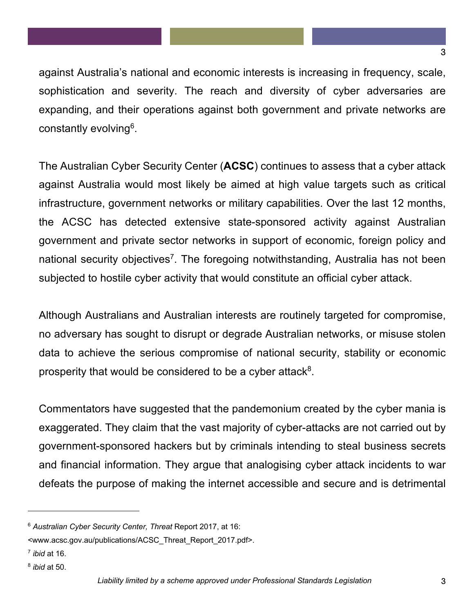against Australia's national and economic interests is increasing in frequency, scale, sophistication and severity. The reach and diversity of cyber adversaries are expanding, and their operations against both government and private networks are constantly evolving<sup>6</sup>.

The Australian Cyber Security Center (**ACSC**) continues to assess that a cyber attack against Australia would most likely be aimed at high value targets such as critical infrastructure, government networks or military capabilities. Over the last 12 months, the ACSC has detected extensive state-sponsored activity against Australian government and private sector networks in support of economic, foreign policy and national security objectives<sup>7</sup>. The foregoing notwithstanding, Australia has not been subjected to hostile cyber activity that would constitute an official cyber attack.

Although Australians and Australian interests are routinely targeted for compromise, no adversary has sought to disrupt or degrade Australian networks, or misuse stolen data to achieve the serious compromise of national security, stability or economic prosperity that would be considered to be a cyber attack<sup>8</sup>.

Commentators have suggested that the pandemonium created by the cyber mania is exaggerated. They claim that the vast majority of cyber-attacks are not carried out by government-sponsored hackers but by criminals intending to steal business secrets and financial information. They argue that analogising cyber attack incidents to war defeats the purpose of making the internet accessible and secure and is detrimental

<sup>6</sup> *Australian Cyber Security Center, Threat* Report 2017, at 16:

<sup>&</sup>lt;www.acsc.gov.au/publications/ACSC\_Threat\_Report\_2017.pdf>.

<sup>7</sup> *ibid* at 16.

<sup>8</sup> *ibid* at 50.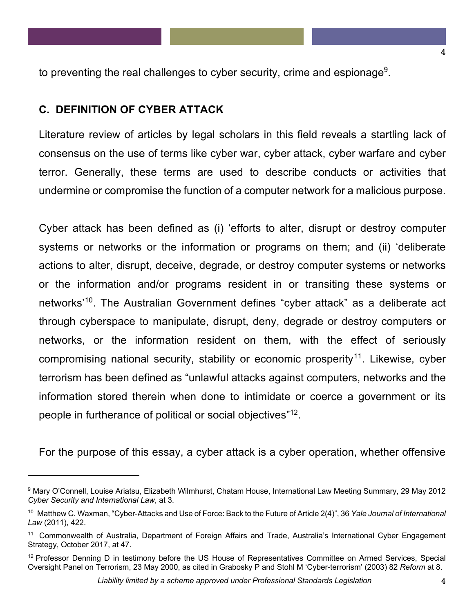to preventing the real challenges to cyber security, crime and espionage<sup>9</sup>.

### **C. DEFINITION OF CYBER ATTACK**

l

Literature review of articles by legal scholars in this field reveals a startling lack of consensus on the use of terms like cyber war, cyber attack, cyber warfare and cyber terror. Generally, these terms are used to describe conducts or activities that undermine or compromise the function of a computer network for a malicious purpose.

Cyber attack has been defined as (i) 'efforts to alter, disrupt or destroy computer systems or networks or the information or programs on them; and (ii) 'deliberate actions to alter, disrupt, deceive, degrade, or destroy computer systems or networks or the information and/or programs resident in or transiting these systems or networks'10. The Australian Government defines "cyber attack" as a deliberate act through cyberspace to manipulate, disrupt, deny, degrade or destroy computers or networks, or the information resident on them, with the effect of seriously compromising national security, stability or economic prosperity<sup>11</sup>. Likewise, cyber terrorism has been defined as "unlawful attacks against computers, networks and the information stored therein when done to intimidate or coerce a government or its people in furtherance of political or social objectives"<sup>12</sup>.

For the purpose of this essay, a cyber attack is a cyber operation, whether offensive

4

<sup>9</sup> Mary O'Connell, Louise Ariatsu, Elizabeth Wilmhurst, Chatam House, International Law Meeting Summary, 29 May 2012 *Cyber Security and International Law*, at 3.

<sup>10</sup> Matthew C. Waxman, "Cyber-Attacks and Use of Force: Back to the Future of Article 2(4)", 36 *Yale Journal of International Law* (2011), 422.

<sup>&</sup>lt;sup>11</sup> Commonwealth of Australia, Department of Foreign Affairs and Trade, Australia's International Cyber Engagement Strategy, October 2017, at 47.

<sup>&</sup>lt;sup>12</sup> Professor Denning D in testimony before the US House of Representatives Committee on Armed Services, Special Oversight Panel on Terrorism, 23 May 2000, as cited in Grabosky P and Stohl M 'Cyber-terrorism' (2003) 82 *Reform* at 8.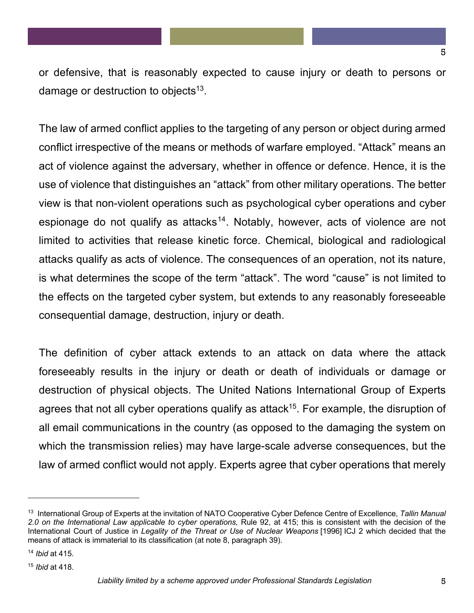or defensive, that is reasonably expected to cause injury or death to persons or damage or destruction to objects<sup>13</sup>.

The law of armed conflict applies to the targeting of any person or object during armed conflict irrespective of the means or methods of warfare employed. "Attack" means an act of violence against the adversary, whether in offence or defence. Hence, it is the use of violence that distinguishes an "attack" from other military operations. The better view is that non-violent operations such as psychological cyber operations and cyber espionage do not qualify as attacks<sup>14</sup>. Notably, however, acts of violence are not limited to activities that release kinetic force. Chemical, biological and radiological attacks qualify as acts of violence. The consequences of an operation, not its nature, is what determines the scope of the term "attack". The word "cause" is not limited to the effects on the targeted cyber system, but extends to any reasonably foreseeable consequential damage, destruction, injury or death.

The definition of cyber attack extends to an attack on data where the attack foreseeably results in the injury or death or death of individuals or damage or destruction of physical objects. The United Nations International Group of Experts agrees that not all cyber operations qualify as attack<sup>15</sup>. For example, the disruption of all email communications in the country (as opposed to the damaging the system on which the transmission relies) may have large-scale adverse consequences, but the law of armed conflict would not apply. Experts agree that cyber operations that merely

<sup>13</sup> International Group of Experts at the invitation of NATO Cooperative Cyber Defence Centre of Excellence, *Tallin Manual 2.0 on the International Law applicable to cyber operations,* Rule 92, at 415; this is consistent with the decision of the International Court of Justice in *Legality of the Threat or Use of Nuclear Weapons* [1996] ICJ 2 which decided that the means of attack is immaterial to its classification (at note 8, paragraph 39).

<sup>14</sup> *Ibid* at 415.

<sup>15</sup> *Ibid* at 418.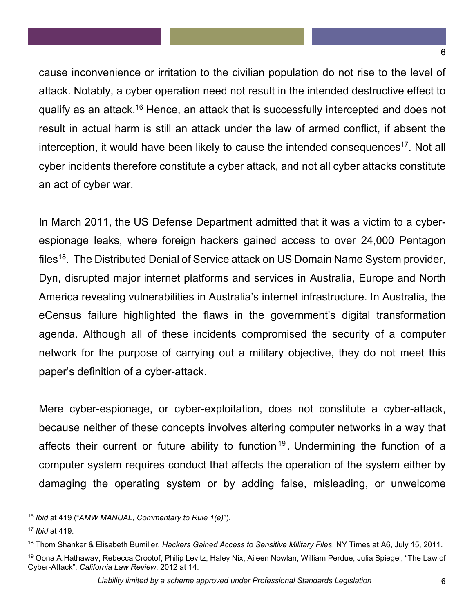cause inconvenience or irritation to the civilian population do not rise to the level of attack. Notably, a cyber operation need not result in the intended destructive effect to qualify as an attack.16 Hence, an attack that is successfully intercepted and does not result in actual harm is still an attack under the law of armed conflict, if absent the interception, it would have been likely to cause the intended consequences<sup>17</sup>. Not all cyber incidents therefore constitute a cyber attack, and not all cyber attacks constitute an act of cyber war.

In March 2011, the US Defense Department admitted that it was a victim to a cyberespionage leaks, where foreign hackers gained access to over 24,000 Pentagon files<sup>18</sup>. The Distributed Denial of Service attack on US Domain Name System provider, Dyn, disrupted major internet platforms and services in Australia, Europe and North America revealing vulnerabilities in Australia's internet infrastructure. In Australia, the eCensus failure highlighted the flaws in the government's digital transformation agenda. Although all of these incidents compromised the security of a computer network for the purpose of carrying out a military objective, they do not meet this paper's definition of a cyber-attack.

Mere cyber-espionage, or cyber-exploitation, does not constitute a cyber-attack, because neither of these concepts involves altering computer networks in a way that affects their current or future ability to function<sup>19</sup>. Undermining the function of a computer system requires conduct that affects the operation of the system either by damaging the operating system or by adding false, misleading, or unwelcome

<sup>16</sup> *Ibid* at 419 ("*AMW MANUAL, Commentary to Rule 1(e)*").

<sup>17</sup> *Ibid* at 419.

<sup>18</sup> Thom Shanker & Elisabeth Bumiller, *Hackers Gained Access to Sensitive Military Files*, NY Times at A6, July 15, 2011.

<sup>&</sup>lt;sup>19</sup> Oona A.Hathaway, Rebecca Crootof, Philip Levitz, Haley Nix, Aileen Nowlan, William Perdue, Julia Spiegel, "The Law of Cyber-Attack", *California Law Review*, 2012 at 14.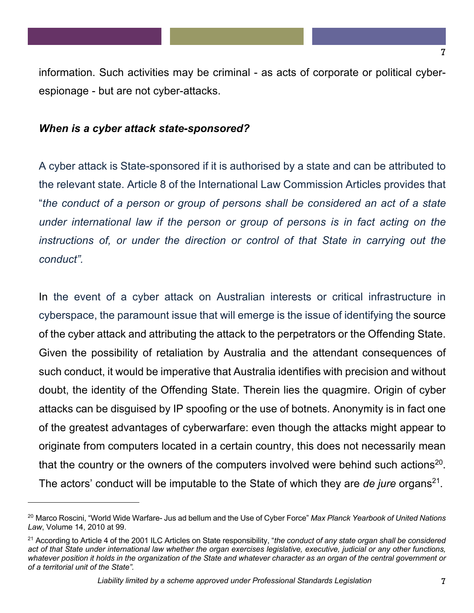7

information. Such activities may be criminal - as acts of corporate or political cyberespionage - but are not cyber-attacks.

#### *When is a cyber attack state-sponsored?*

l

A cyber attack is State-sponsored if it is authorised by a state and can be attributed to the relevant state. Article 8 of the International Law Commission Articles provides that "*the conduct of a person or group of persons shall be considered an act of a state under international law if the person or group of persons is in fact acting on the*  instructions of, or under the direction or control of that State in carrying out the *conduct".*

In the event of a cyber attack on Australian interests or critical infrastructure in cyberspace, the paramount issue that will emerge is the issue of identifying the source of the cyber attack and attributing the attack to the perpetrators or the Offending State. Given the possibility of retaliation by Australia and the attendant consequences of such conduct, it would be imperative that Australia identifies with precision and without doubt, the identity of the Offending State. Therein lies the quagmire. Origin of cyber attacks can be disguised by IP spoofing or the use of botnets. Anonymity is in fact one of the greatest advantages of cyberwarfare: even though the attacks might appear to originate from computers located in a certain country, this does not necessarily mean that the country or the owners of the computers involved were behind such actions<sup>20</sup>. The actors' conduct will be imputable to the State of which they are *de jure* organs<sup>21</sup>.

<sup>20</sup> Marco Roscini, "World Wide Warfare- Jus ad bellum and the Use of Cyber Force" *Max Planck Yearbook of United Nations Law*, Volume 14, 2010 at 99.

<sup>21</sup> According to Article 4 of the 2001 ILC Articles on State responsibility, "*the conduct of any state organ shall be considered act of that State under international law whether the organ exercises legislative, executive, judicial or any other functions, whatever position it holds in the organization of the State and whatever character as an organ of the central government or of a territorial unit of the State".*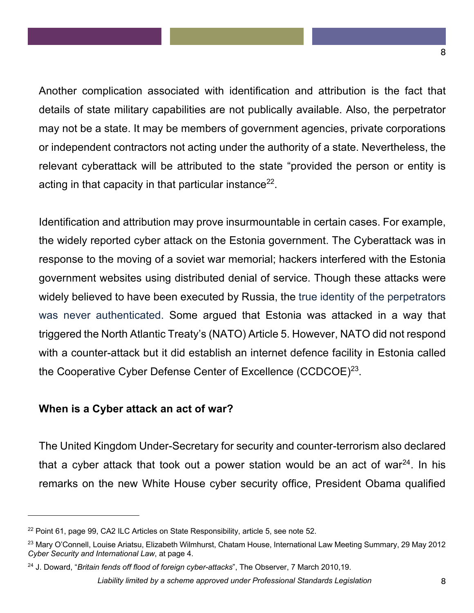Another complication associated with identification and attribution is the fact that details of state military capabilities are not publically available. Also, the perpetrator may not be a state. It may be members of government agencies, private corporations or independent contractors not acting under the authority of a state. Nevertheless, the relevant cyberattack will be attributed to the state "provided the person or entity is acting in that capacity in that particular instance<sup>22</sup>.

Identification and attribution may prove insurmountable in certain cases. For example, the widely reported cyber attack on the Estonia government. The Cyberattack was in response to the moving of a soviet war memorial; hackers interfered with the Estonia government websites using distributed denial of service. Though these attacks were widely believed to have been executed by Russia, the true identity of the perpetrators was never authenticated. Some argued that Estonia was attacked in a way that triggered the North Atlantic Treaty's (NATO) Article 5. However, NATO did not respond with a counter-attack but it did establish an internet defence facility in Estonia called the Cooperative Cyber Defense Center of Excellence (CCDCOE)23.

#### **When is a Cyber attack an act of war?**

 $\overline{\phantom{a}}$ 

The United Kingdom Under-Secretary for security and counter-terrorism also declared that a cyber attack that took out a power station would be an act of war $^{24}$ . In his remarks on the new White House cyber security office, President Obama qualified

<sup>&</sup>lt;sup>22</sup> Point 61, page 99, CA2 ILC Articles on State Responsibility, article 5, see note 52.

<sup>&</sup>lt;sup>23</sup> Mary O'Connell, Louise Ariatsu, Elizabeth Wilmhurst, Chatam House, International Law Meeting Summary, 29 May 2012 *Cyber Security and International Law*, at page 4.

<sup>24</sup> J. Doward, "*Britain fends off flood of foreign cyber-attacks*", The Observer, 7 March 2010,19.

*Liability limited by a scheme approved under Professional Standards Legislation* 8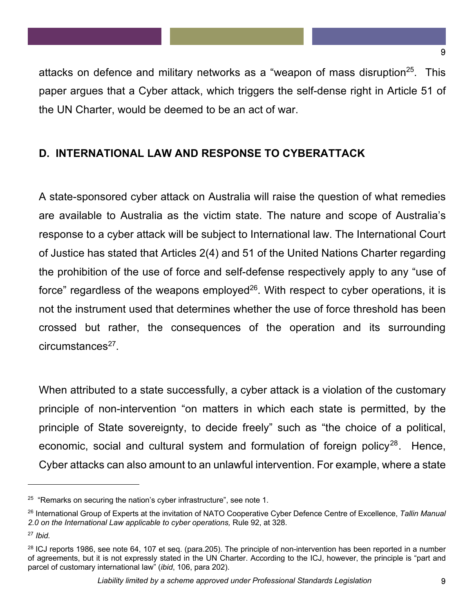attacks on defence and military networks as a "weapon of mass disruption $25$ . This paper argues that a Cyber attack, which triggers the self-dense right in Article 51 of the UN Charter, would be deemed to be an act of war.

# **D. INTERNATIONAL LAW AND RESPONSE TO CYBERATTACK**

A state-sponsored cyber attack on Australia will raise the question of what remedies are available to Australia as the victim state. The nature and scope of Australia's response to a cyber attack will be subject to International law. The International Court of Justice has stated that Articles 2(4) and 51 of the United Nations Charter regarding the prohibition of the use of force and self-defense respectively apply to any "use of force" regardless of the weapons employed<sup>26</sup>. With respect to cyber operations, it is not the instrument used that determines whether the use of force threshold has been crossed but rather, the consequences of the operation and its surrounding  $circumstances<sup>27</sup>$ .

When attributed to a state successfully, a cyber attack is a violation of the customary principle of non-intervention "on matters in which each state is permitted, by the principle of State sovereignty, to decide freely" such as "the choice of a political, economic, social and cultural system and formulation of foreign policy<sup>28</sup>. Hence, Cyber attacks can also amount to an unlawful intervention. For example, where a state

 $\overline{a}$ 

9

 $25$  "Remarks on securing the nation's cyber infrastructure", see note 1.

<sup>26</sup> International Group of Experts at the invitation of NATO Cooperative Cyber Defence Centre of Excellence, *Tallin Manual 2.0 on the International Law applicable to cyber operations,* Rule 92, at 328.

<sup>27</sup> *Ibid.*

<sup>&</sup>lt;sup>28</sup> ICJ reports 1986, see note 64, 107 et seq. (para.205). The principle of non-intervention has been reported in a number of agreements, but it is not expressly stated in the UN Charter. According to the ICJ, however, the principle is "part and parcel of customary international law" (*ibid*, 106, para 202).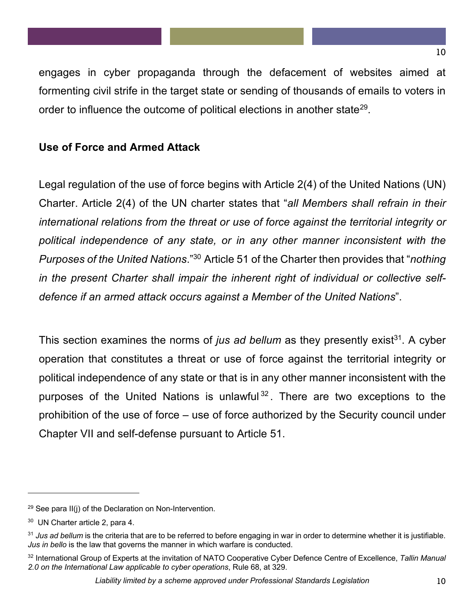engages in cyber propaganda through the defacement of websites aimed at formenting civil strife in the target state or sending of thousands of emails to voters in order to influence the outcome of political elections in another state<sup>29</sup>.

## **Use of Force and Armed Attack**

Legal regulation of the use of force begins with Article 2(4) of the United Nations (UN) Charter. Article 2(4) of the UN charter states that "*all Members shall refrain in their international relations from the threat or use of force against the territorial integrity or political independence of any state, or in any other manner inconsistent with the Purposes of the United Nations*." <sup>30</sup> Article 51 of the Charter then provides that "*nothing in the present Charter shall impair the inherent right of individual or collective selfdefence if an armed attack occurs against a Member of the United Nations*".

This section examines the norms of *jus ad bellum* as they presently exist<sup>31</sup>. A cyber operation that constitutes a threat or use of force against the territorial integrity or political independence of any state or that is in any other manner inconsistent with the purposes of the United Nations is unlawful  $32$ . There are two exceptions to the prohibition of the use of force – use of force authorized by the Security council under Chapter VII and self-defense pursuant to Article 51.

 $29$  See para II(j) of the Declaration on Non-Intervention.

<sup>30</sup> UN Charter article 2, para 4.

<sup>&</sup>lt;sup>31</sup> Jus ad bellum is the criteria that are to be referred to before engaging in war in order to determine whether it is justifiable. *Jus in bello* is the law that governs the manner in which warfare is conducted.

<sup>32</sup> International Group of Experts at the invitation of NATO Cooperative Cyber Defence Centre of Excellence, *Tallin Manual 2.0 on the International Law applicable to cyber operations*, Rule 68, at 329.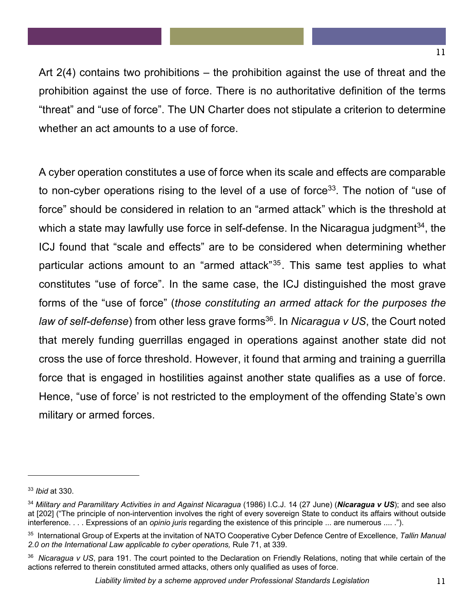Art 2(4) contains two prohibitions – the prohibition against the use of threat and the prohibition against the use of force. There is no authoritative definition of the terms "threat" and "use of force". The UN Charter does not stipulate a criterion to determine whether an act amounts to a use of force.

A cyber operation constitutes a use of force when its scale and effects are comparable to non-cyber operations rising to the level of a use of force<sup>33</sup>. The notion of "use of force" should be considered in relation to an "armed attack" which is the threshold at which a state may lawfully use force in self-defense. In the Nicaragua judgment<sup>34</sup>, the ICJ found that "scale and effects" are to be considered when determining whether particular actions amount to an "armed attack"<sup>35</sup>. This same test applies to what constitutes "use of force". In the same case, the ICJ distinguished the most grave forms of the "use of force" (*those constituting an armed attack for the purposes the law of self-defense*) from other less grave forms<sup>36</sup>. In *Nicaragua v US*, the Court noted that merely funding guerrillas engaged in operations against another state did not cross the use of force threshold. However, it found that arming and training a guerrilla force that is engaged in hostilities against another state qualifies as a use of force. Hence, "use of force' is not restricted to the employment of the offending State's own military or armed forces.

<sup>33</sup> *Ibid* at 330.

<sup>34</sup> *Military and Paramilitary Activities in and Against Nicaragua* (1986) I.C.J. 14 (27 June) (*Nicaragua v US*); and see also at [202] ("The principle of non-intervention involves the right of every sovereign State to conduct its affairs without outside interference. . . . Expressions of an *opinio juris* regarding the existence of this principle ... are numerous .... .").

<sup>35</sup> International Group of Experts at the invitation of NATO Cooperative Cyber Defence Centre of Excellence, *Tallin Manual 2.0 on the International Law applicable to cyber operations,* Rule 71, at 339.

<sup>36</sup> *Nicaragua v US*, para 191. The court pointed to the Declaration on Friendly Relations, noting that while certain of the actions referred to therein constituted armed attacks, others only qualified as uses of force.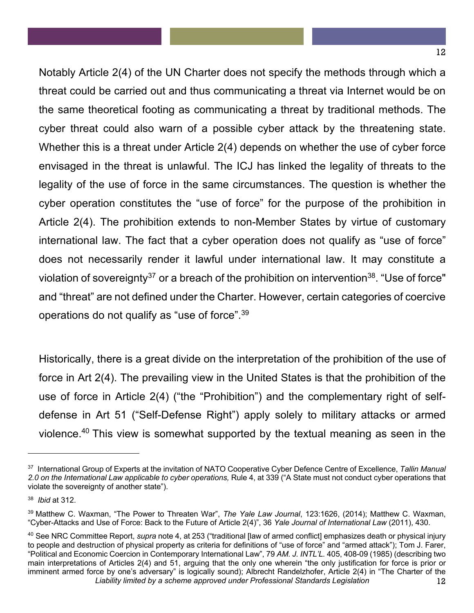Notably Article 2(4) of the UN Charter does not specify the methods through which a threat could be carried out and thus communicating a threat via Internet would be on the same theoretical footing as communicating a threat by traditional methods. The cyber threat could also warn of a possible cyber attack by the threatening state. Whether this is a threat under Article 2(4) depends on whether the use of cyber force envisaged in the threat is unlawful. The ICJ has linked the legality of threats to the legality of the use of force in the same circumstances. The question is whether the cyber operation constitutes the "use of force" for the purpose of the prohibition in Article 2(4). The prohibition extends to non-Member States by virtue of customary international law. The fact that a cyber operation does not qualify as "use of force" does not necessarily render it lawful under international law. It may constitute a violation of sovereignty<sup>37</sup> or a breach of the prohibition on intervention<sup>38</sup>. "Use of force" and "threat" are not defined under the Charter. However, certain categories of coercive operations do not qualify as "use of force".39

Historically, there is a great divide on the interpretation of the prohibition of the use of force in Art 2(4). The prevailing view in the United States is that the prohibition of the use of force in Article 2(4) ("the "Prohibition") and the complementary right of selfdefense in Art 51 ("Self-Defense Right") apply solely to military attacks or armed violence. <sup>40</sup> This view is somewhat supported by the textual meaning as seen in the

<sup>37</sup> International Group of Experts at the invitation of NATO Cooperative Cyber Defence Centre of Excellence, *Tallin Manual 2.0 on the International Law applicable to cyber operations,* Rule 4, at 339 ("A State must not conduct cyber operations that violate the sovereignty of another state").

<sup>38</sup> *Ibid* at 312.

<sup>39</sup> Matthew C. Waxman, "The Power to Threaten War", *The Yale Law Journal*, 123:1626, (2014); Matthew C. Waxman, "Cyber-Attacks and Use of Force: Back to the Future of Article 2(4)", 36 *Yale Journal of International Law* (2011), 430.

*Liability limited by a scheme approved under Professional Standards Legislation* 12 <sup>40</sup> See NRC Committee Report, *supra* note 4, at 253 ("traditional [law of armed conflict] emphasizes death or physical injury to people and destruction of physical property as criteria for definitions of "use of force" and "armed attack"); Tom J. Farer, "Political and Economic Coercion in Contemporary International Law", 79 *AM. J. INTL'L.* 405, 408-09 (1985) (describing two main interpretations of Articles 2(4) and 51, arguing that the only one wherein "the only justification for force is prior or imminent armed force by one's adversary" is logically sound); Albrecht Randelzhofer, Article 2(4) in "The Charter of the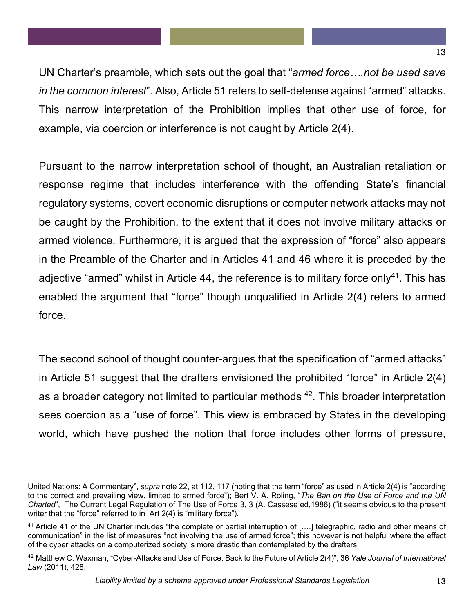UN Charter's preamble, which sets out the goal that "*armed force….not be used save in the common interest*". Also, Article 51 refers to self-defense against "armed" attacks. This narrow interpretation of the Prohibition implies that other use of force, for example, via coercion or interference is not caught by Article 2(4).

Pursuant to the narrow interpretation school of thought, an Australian retaliation or response regime that includes interference with the offending State's financial regulatory systems, covert economic disruptions or computer network attacks may not be caught by the Prohibition, to the extent that it does not involve military attacks or armed violence. Furthermore, it is argued that the expression of "force" also appears in the Preamble of the Charter and in Articles 41 and 46 where it is preceded by the adjective "armed" whilst in Article 44, the reference is to military force only<sup>41</sup>. This has enabled the argument that "force" though unqualified in Article 2(4) refers to armed force.

The second school of thought counter-argues that the specification of "armed attacks" in Article 51 suggest that the drafters envisioned the prohibited "force" in Article 2(4) as a broader category not limited to particular methods <sup>42</sup>. This broader interpretation sees coercion as a "use of force". This view is embraced by States in the developing world, which have pushed the notion that force includes other forms of pressure,

United Nations: A Commentary", *supra* note 22, at 112, 117 (noting that the term "force" as used in Article 2(4) is "according to the correct and prevailing view, limited to armed force"); Bert V. A. Roling, "*The Ban on the Use of Force and the UN Charted*", The Current Legal Regulation of The Use of Force 3, 3 (A. Cassese ed,1986) ("it seems obvious to the present writer that the "force" referred to in Art 2(4) is "military force").

<sup>&</sup>lt;sup>41</sup> Article 41 of the UN Charter includes "the complete or partial interruption of [...] telegraphic, radio and other means of communication" in the list of measures "not involving the use of armed force"; this however is not helpful where the effect of the cyber attacks on a computerized society is more drastic than contemplated by the drafters.

<sup>42</sup> Matthew C. Waxman, "Cyber-Attacks and Use of Force: Back to the Future of Article 2(4)", 36 *Yale Journal of International Law* (2011), 428.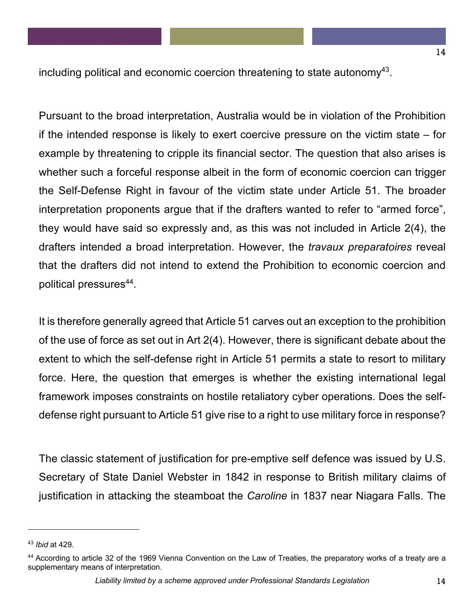including political and economic coercion threatening to state autonomy<sup>43</sup>.

Pursuant to the broad interpretation, Australia would be in violation of the Prohibition if the intended response is likely to exert coercive pressure on the victim state – for example by threatening to cripple its financial sector. The question that also arises is whether such a forceful response albeit in the form of economic coercion can trigger the Self-Defense Right in favour of the victim state under Article 51. The broader interpretation proponents argue that if the drafters wanted to refer to "armed force", they would have said so expressly and, as this was not included in Article 2(4), the drafters intended a broad interpretation. However, the *travaux preparatoires* reveal that the drafters did not intend to extend the Prohibition to economic coercion and political pressures<sup>44</sup>.

It is therefore generally agreed that Article 51 carves out an exception to the prohibition of the use of force as set out in Art 2(4). However, there is significant debate about the extent to which the self-defense right in Article 51 permits a state to resort to military force. Here, the question that emerges is whether the existing international legal framework imposes constraints on hostile retaliatory cyber operations. Does the selfdefense right pursuant to Article 51 give rise to a right to use military force in response?

The classic statement of justification for pre-emptive self defence was issued by U.S. Secretary of State Daniel Webster in 1842 in response to British military claims of justification in attacking the steamboat the *Caroline* in 1837 near Niagara Falls. The

<sup>43</sup> *Ibid* at 429.

<sup>44</sup> According to article 32 of the 1969 Vienna Convention on the Law of Treaties, the preparatory works of a treaty are a supplementary means of interpretation.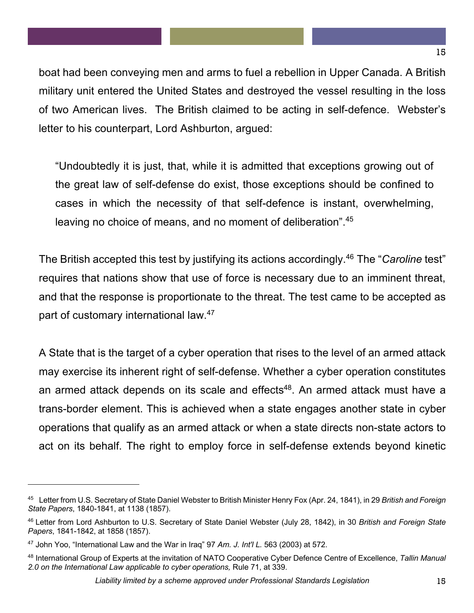boat had been conveying men and arms to fuel a rebellion in Upper Canada. A British military unit entered the United States and destroyed the vessel resulting in the loss of two American lives. The British claimed to be acting in self-defence. Webster's letter to his counterpart, Lord Ashburton, argued:

"Undoubtedly it is just, that, while it is admitted that exceptions growing out of the great law of self-defense do exist, those exceptions should be confined to cases in which the necessity of that self-defence is instant, overwhelming, leaving no choice of means, and no moment of deliberation".<sup>45</sup>

The British accepted this test by justifying its actions accordingly.46 The "*Caroline* test" requires that nations show that use of force is necessary due to an imminent threat, and that the response is proportionate to the threat. The test came to be accepted as part of customary international law.<sup>47</sup>

A State that is the target of a cyber operation that rises to the level of an armed attack may exercise its inherent right of self-defense. Whether a cyber operation constitutes an armed attack depends on its scale and effects<sup>48</sup>. An armed attack must have a trans-border element. This is achieved when a state engages another state in cyber operations that qualify as an armed attack or when a state directs non-state actors to act on its behalf. The right to employ force in self-defense extends beyond kinetic

<sup>45</sup> Letter from U.S. Secretary of State Daniel Webster to British Minister Henry Fox (Apr. 24, 1841), in 29 *British and Foreign State Papers*, 1840-1841, at 1138 (1857).

<sup>46</sup> Letter from Lord Ashburton to U.S. Secretary of State Daniel Webster (July 28, 1842), in 30 *British and Foreign State Papers*, 1841-1842, at 1858 (1857).

<sup>47</sup> John Yoo, "International Law and the War in Iraq" 97 *Am. J. Int'l L.* 563 (2003) at 572.

<sup>48</sup> International Group of Experts at the invitation of NATO Cooperative Cyber Defence Centre of Excellence, *Tallin Manual 2.0 on the International Law applicable to cyber operations,* Rule 71, at 339.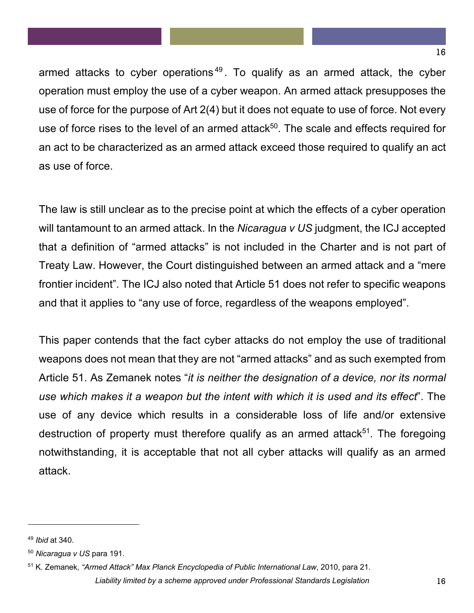armed attacks to cyber operations<sup>49</sup>. To qualify as an armed attack, the cyber operation must employ the use of a cyber weapon. An armed attack presupposes the use of force for the purpose of Art 2(4) but it does not equate to use of force. Not every use of force rises to the level of an armed attack<sup>50</sup>. The scale and effects required for an act to be characterized as an armed attack exceed those required to qualify an act as use of force.

The law is still unclear as to the precise point at which the effects of a cyber operation will tantamount to an armed attack. In the *Nicaragua v US* judgment, the ICJ accepted that a definition of "armed attacks" is not included in the Charter and is not part of Treaty Law. However, the Court distinguished between an armed attack and a "mere frontier incident". The ICJ also noted that Article 51 does not refer to specific weapons and that it applies to "any use of force, regardless of the weapons employed".

This paper contends that the fact cyber attacks do not employ the use of traditional weapons does not mean that they are not "armed attacks" and as such exempted from Article 51. As Zemanek notes "*it is neither the designation of a device, nor its normal use which makes it a weapon but the intent with which it is used and its effect*". The use of any device which results in a considerable loss of life and/or extensive destruction of property must therefore qualify as an armed attack<sup>51</sup>. The foregoing notwithstanding, it is acceptable that not all cyber attacks will qualify as an armed attack.

 $\overline{a}$ 

16

<sup>49</sup> *Ibid* at 340.

<sup>50</sup> *Nicaragua v US* para 191.

<sup>51</sup> K. Zemanek, *"Armed Attack" Max Planck Encyclopedia of Public International Law*, 2010, para 21.

*Liability limited by a scheme approved under Professional Standards Legislation* 16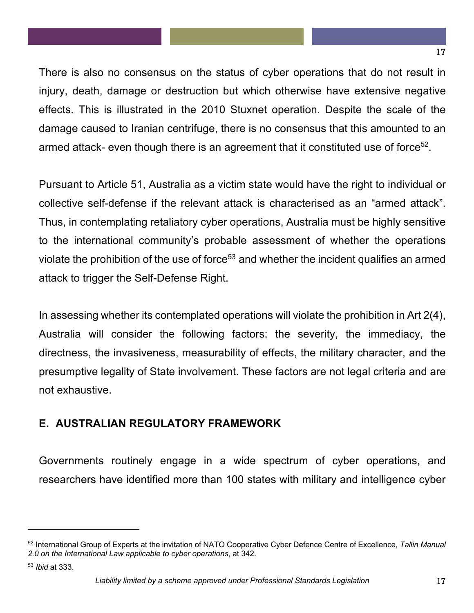There is also no consensus on the status of cyber operations that do not result in injury, death, damage or destruction but which otherwise have extensive negative effects. This is illustrated in the 2010 Stuxnet operation. Despite the scale of the damage caused to Iranian centrifuge, there is no consensus that this amounted to an armed attack- even though there is an agreement that it constituted use of force<sup>52</sup>.

Pursuant to Article 51, Australia as a victim state would have the right to individual or collective self-defense if the relevant attack is characterised as an "armed attack". Thus, in contemplating retaliatory cyber operations, Australia must be highly sensitive to the international community's probable assessment of whether the operations violate the prohibition of the use of force<sup>53</sup> and whether the incident qualifies an armed attack to trigger the Self-Defense Right.

In assessing whether its contemplated operations will violate the prohibition in Art 2(4), Australia will consider the following factors: the severity, the immediacy, the directness, the invasiveness, measurability of effects, the military character, and the presumptive legality of State involvement. These factors are not legal criteria and are not exhaustive.

# **E. AUSTRALIAN REGULATORY FRAMEWORK**

Governments routinely engage in a wide spectrum of cyber operations, and researchers have identified more than 100 states with military and intelligence cyber

<sup>52</sup> International Group of Experts at the invitation of NATO Cooperative Cyber Defence Centre of Excellence, *Tallin Manual 2.0 on the International Law applicable to cyber operations*, at 342.

<sup>53</sup> *Ibid* at 333.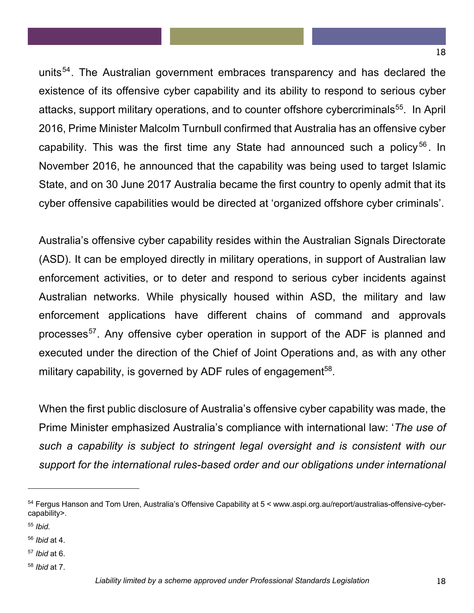units<sup>54</sup>. The Australian government embraces transparency and has declared the existence of its offensive cyber capability and its ability to respond to serious cyber attacks, support military operations, and to counter offshore cybercriminals<sup>55</sup>. In April 2016, Prime Minister Malcolm Turnbull confirmed that Australia has an offensive cyber capability. This was the first time any State had announced such a policy<sup>56</sup>. In November 2016, he announced that the capability was being used to target Islamic State, and on 30 June 2017 Australia became the first country to openly admit that its cyber offensive capabilities would be directed at 'organized offshore cyber criminals'.

Australia's offensive cyber capability resides within the Australian Signals Directorate (ASD). It can be employed directly in military operations, in support of Australian law enforcement activities, or to deter and respond to serious cyber incidents against Australian networks. While physically housed within ASD, the military and law enforcement applications have different chains of command and approvals processes<sup>57</sup>. Any offensive cyber operation in support of the ADF is planned and executed under the direction of the Chief of Joint Operations and, as with any other military capability, is governed by ADF rules of engagement<sup>58</sup>.

When the first public disclosure of Australia's offensive cyber capability was made, the Prime Minister emphasized Australia's compliance with international law: '*The use of such a capability is subject to stringent legal oversight and is consistent with our support for the international rules-based order and our obligations under international* 

<sup>54</sup> Fergus Hanson and Tom Uren, Australia's Offensive Capability at 5 < www.aspi.org.au/report/australias-offensive-cybercapability>.

<sup>55</sup> *Ibid.*

<sup>56</sup> *Ibid* at 4.

<sup>57</sup> *Ibid* at 6.

<sup>58</sup> *Ibid* at 7.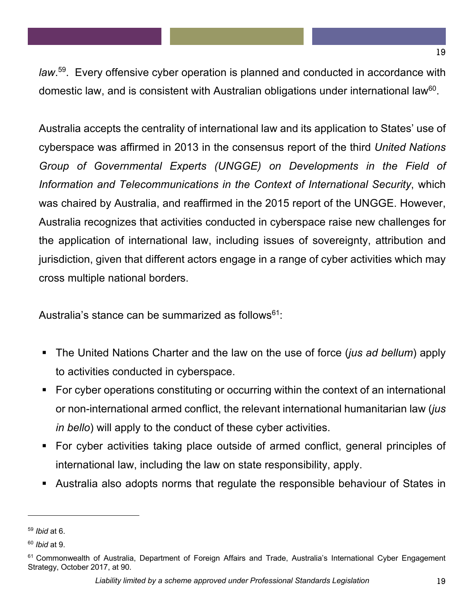*law*. 59. Every offensive cyber operation is planned and conducted in accordance with domestic law, and is consistent with Australian obligations under international law<sup>60</sup>.

Australia accepts the centrality of international law and its application to States' use of cyberspace was affirmed in 2013 in the consensus report of the third *United Nations Group of Governmental Experts (UNGGE) on Developments in the Field of Information and Telecommunications in the Context of International Security*, which was chaired by Australia, and reaffirmed in the 2015 report of the UNGGE. However, Australia recognizes that activities conducted in cyberspace raise new challenges for the application of international law, including issues of sovereignty, attribution and jurisdiction, given that different actors engage in a range of cyber activities which may cross multiple national borders.

Australia's stance can be summarized as follows<sup>61</sup>:

- The United Nations Charter and the law on the use of force (*jus ad bellum*) apply to activities conducted in cyberspace.
- For cyber operations constituting or occurring within the context of an international or non-international armed conflict, the relevant international humanitarian law (*jus in bello*) will apply to the conduct of these cyber activities.
- For cyber activities taking place outside of armed conflict, general principles of international law, including the law on state responsibility, apply.
- § Australia also adopts norms that regulate the responsible behaviour of States in

 $\overline{\phantom{a}}$ 

<sup>59</sup> *Ibid* at 6.

<sup>60</sup> *Ibid* at 9.

<sup>&</sup>lt;sup>61</sup> Commonwealth of Australia, Department of Foreign Affairs and Trade, Australia's International Cyber Engagement Strategy, October 2017, at 90.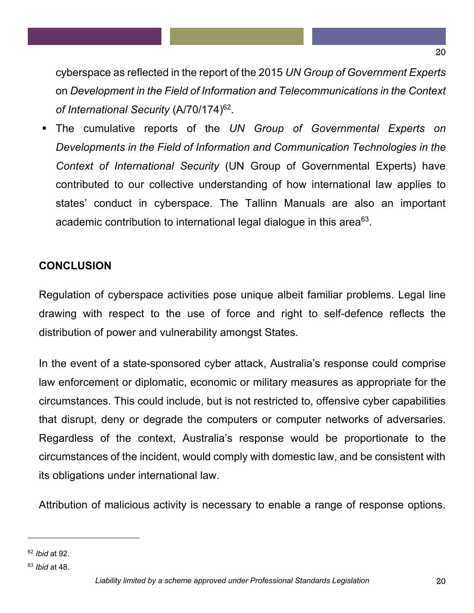cyberspace as reflected in the report of the 2015 *UN Group of Government Experts*  on *Development in the Field of Information and Telecommunications in the Context of International Security* (A/70/174)62.

§ The cumulative reports of the *UN Group of Governmental Experts on Developments in the Field of Information and Communication Technologies in the Context of International Security* (UN Group of Governmental Experts) have contributed to our collective understanding of how international law applies to states' conduct in cyberspace. The Tallinn Manuals are also an important academic contribution to international legal dialogue in this area<sup>63</sup>.

# **CONCLUSION**

Regulation of cyberspace activities pose unique albeit familiar problems. Legal line drawing with respect to the use of force and right to self-defence reflects the distribution of power and vulnerability amongst States.

In the event of a state-sponsored cyber attack, Australia's response could comprise law enforcement or diplomatic, economic or military measures as appropriate for the circumstances. This could include, but is not restricted to, offensive cyber capabilities that disrupt, deny or degrade the computers or computer networks of adversaries. Regardless of the context, Australia's response would be proportionate to the circumstances of the incident, would comply with domestic law, and be consistent with its obligations under international law.

Attribution of malicious activity is necessary to enable a range of response options.

l

20

<sup>62</sup> *Ibid* at 92.

<sup>63</sup> *Ibid* at 48.